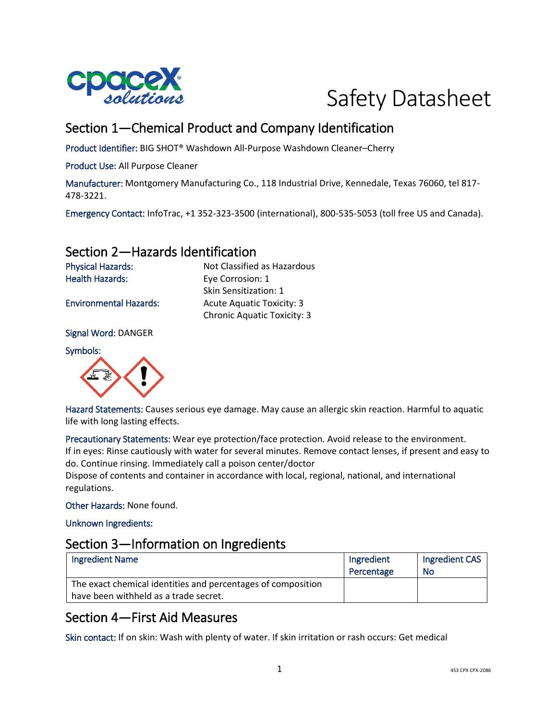



# Section 1—Chemical Product and Company Identification

Product Identifier: BIG SHOT® Washdown All-Purpose Washdown Cleaner–Cherry

Product Use: All Purpose Cleaner

Manufacturer: Montgomery Manufacturing Co., 118 Industrial Drive, Kennedale, Texas 76060, tel 817- 478-3221.

Emergency Contact: InfoTrac, +1 352-323-3500 (international), 800-535-5053 (toll free US and Canada).

### Section 2—Hazards Identification

Physical Hazards: Not Classified as Hazardous Health Hazards: Eye Corrosion: 1 Skin Sensitization: 1 Environmental Hazards: Acute Aquatic Toxicity: 3 Chronic Aquatic Toxicity: 3

Signal Word: DANGER

Symbols:



Hazard Statements: Causes serious eye damage. May cause an allergic skin reaction. Harmful to aquatic life with long lasting effects.

Precautionary Statements: Wear eye protection/face protection. Avoid release to the environment. If in eyes: Rinse cautiously with water for several minutes. Remove contact lenses, if present and easy to do. Continue rinsing. Immediately call a poison center/doctor

Dispose of contents and container in accordance with local, regional, national, and international regulations.

Other Hazards: None found.

Unknown Ingredients:

#### Section 3—Information on Ingredients

| <b>Ingredient Name</b>                                                                                | Ingredient<br>Percentage | Ingredient CAS<br>No |
|-------------------------------------------------------------------------------------------------------|--------------------------|----------------------|
| The exact chemical identities and percentages of composition<br>have been withheld as a trade secret. |                          |                      |

## Section 4—First Aid Measures

Skin contact: If on skin: Wash with plenty of water. If skin irritation or rash occurs: Get medical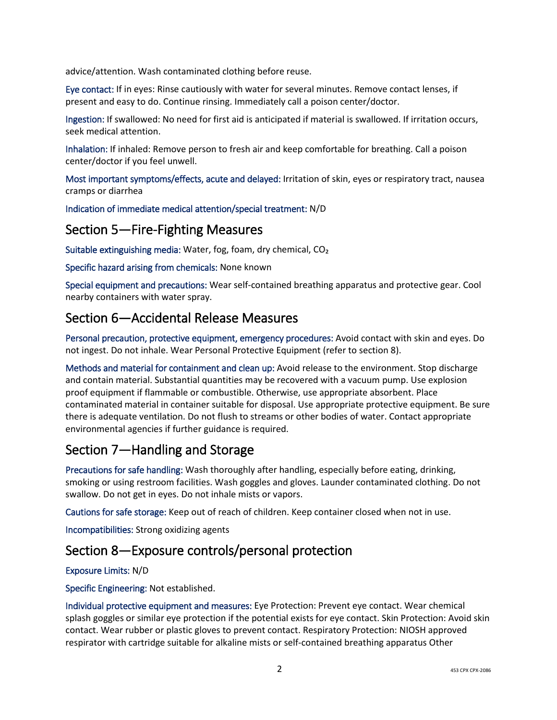advice/attention. Wash contaminated clothing before reuse.

Eye contact: If in eyes: Rinse cautiously with water for several minutes. Remove contact lenses, if present and easy to do. Continue rinsing. Immediately call a poison center/doctor.

Ingestion: If swallowed: No need for first aid is anticipated if material is swallowed. If irritation occurs, seek medical attention.

Inhalation: If inhaled: Remove person to fresh air and keep comfortable for breathing. Call a poison center/doctor if you feel unwell.

Most important symptoms/effects, acute and delayed: Irritation of skin, eyes or respiratory tract, nausea cramps or diarrhea

Indication of immediate medical attention/special treatment: N/D

### Section 5—Fire-Fighting Measures

Suitable extinguishing media: Water, fog, foam, dry chemical, CO₂

Specific hazard arising from chemicals: None known

Special equipment and precautions: Wear self-contained breathing apparatus and protective gear. Cool nearby containers with water spray.

#### Section 6—Accidental Release Measures

Personal precaution, protective equipment, emergency procedures: Avoid contact with skin and eyes. Do not ingest. Do not inhale. Wear Personal Protective Equipment (refer to section 8).

Methods and material for containment and clean up: Avoid release to the environment. Stop discharge and contain material. Substantial quantities may be recovered with a vacuum pump. Use explosion proof equipment if flammable or combustible. Otherwise, use appropriate absorbent. Place contaminated material in container suitable for disposal. Use appropriate protective equipment. Be sure there is adequate ventilation. Do not flush to streams or other bodies of water. Contact appropriate environmental agencies if further guidance is required.

# Section 7—Handling and Storage

Precautions for safe handling: Wash thoroughly after handling, especially before eating, drinking, smoking or using restroom facilities. Wash goggles and gloves. Launder contaminated clothing. Do not swallow. Do not get in eyes. Do not inhale mists or vapors.

Cautions for safe storage: Keep out of reach of children. Keep container closed when not in use.

Incompatibilities: Strong oxidizing agents

#### Section 8—Exposure controls/personal protection

#### Exposure Limits: N/D

Specific Engineering: Not established.

Individual protective equipment and measures: Eye Protection: Prevent eye contact. Wear chemical splash goggles or similar eye protection if the potential exists for eye contact. Skin Protection: Avoid skin contact. Wear rubber or plastic gloves to prevent contact. Respiratory Protection: NIOSH approved respirator with cartridge suitable for alkaline mists or self-contained breathing apparatus Other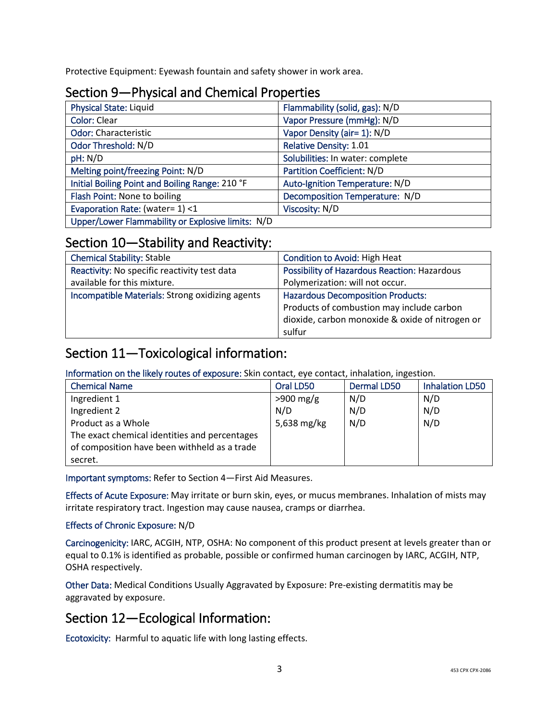Protective Equipment: Eyewash fountain and safety shower in work area.

# Section 9—Physical and Chemical Properties

| <b>Physical State: Liquid</b>                     | Flammability (solid, gas): N/D   |
|---------------------------------------------------|----------------------------------|
| <b>Color: Clear</b>                               | Vapor Pressure (mmHg): N/D       |
| <b>Odor: Characteristic</b>                       | Vapor Density (air= 1): N/D      |
| Odor Threshold: N/D                               | <b>Relative Density: 1.01</b>    |
| pH: N/D                                           | Solubilities: In water: complete |
| Melting point/freezing Point: N/D                 | Partition Coefficient: N/D       |
| Initial Boiling Point and Boiling Range: 210 °F   | Auto-Ignition Temperature: N/D   |
| Flash Point: None to boiling                      | Decomposition Temperature: N/D   |
| Evaporation Rate: (water= 1) <1                   | Viscosity: N/D                   |
| Upper/Lower Flammability or Explosive limits: N/D |                                  |

## Section 10—Stability and Reactivity:

| <b>Chemical Stability: Stable</b>               | <b>Condition to Avoid: High Heat</b>            |
|-------------------------------------------------|-------------------------------------------------|
| Reactivity: No specific reactivity test data    | Possibility of Hazardous Reaction: Hazardous    |
| available for this mixture.                     | Polymerization: will not occur.                 |
| Incompatible Materials: Strong oxidizing agents | <b>Hazardous Decomposition Products:</b>        |
|                                                 | Products of combustion may include carbon       |
|                                                 | dioxide, carbon monoxide & oxide of nitrogen or |
|                                                 | sulfur                                          |

# Section 11—Toxicological information:

Information on the likely routes of exposure: Skin contact, eye contact, inhalation, ingestion.

| <b>Chemical Name</b>                          | Oral LD50   | <b>Dermal LD50</b> | <b>Inhalation LD50</b> |
|-----------------------------------------------|-------------|--------------------|------------------------|
| Ingredient 1                                  | $>900$ mg/g | N/D                | N/D                    |
| Ingredient 2                                  | N/D         | N/D                | N/D                    |
| Product as a Whole                            | 5,638 mg/kg | N/D                | N/D                    |
| The exact chemical identities and percentages |             |                    |                        |
| of composition have been withheld as a trade  |             |                    |                        |
| secret.                                       |             |                    |                        |

Important symptoms: Refer to Section 4—First Aid Measures.

Effects of Acute Exposure: May irritate or burn skin, eyes, or mucus membranes. Inhalation of mists may irritate respiratory tract. Ingestion may cause nausea, cramps or diarrhea.

#### Effects of Chronic Exposure: N/D

Carcinogenicity: IARC, ACGIH, NTP, OSHA: No component of this product present at levels greater than or equal to 0.1% is identified as probable, possible or confirmed human carcinogen by IARC, ACGIH, NTP, OSHA respectively.

Other Data: Medical Conditions Usually Aggravated by Exposure: Pre-existing dermatitis may be aggravated by exposure.

# Section 12—Ecological Information:

Ecotoxicity: Harmful to aquatic life with long lasting effects.